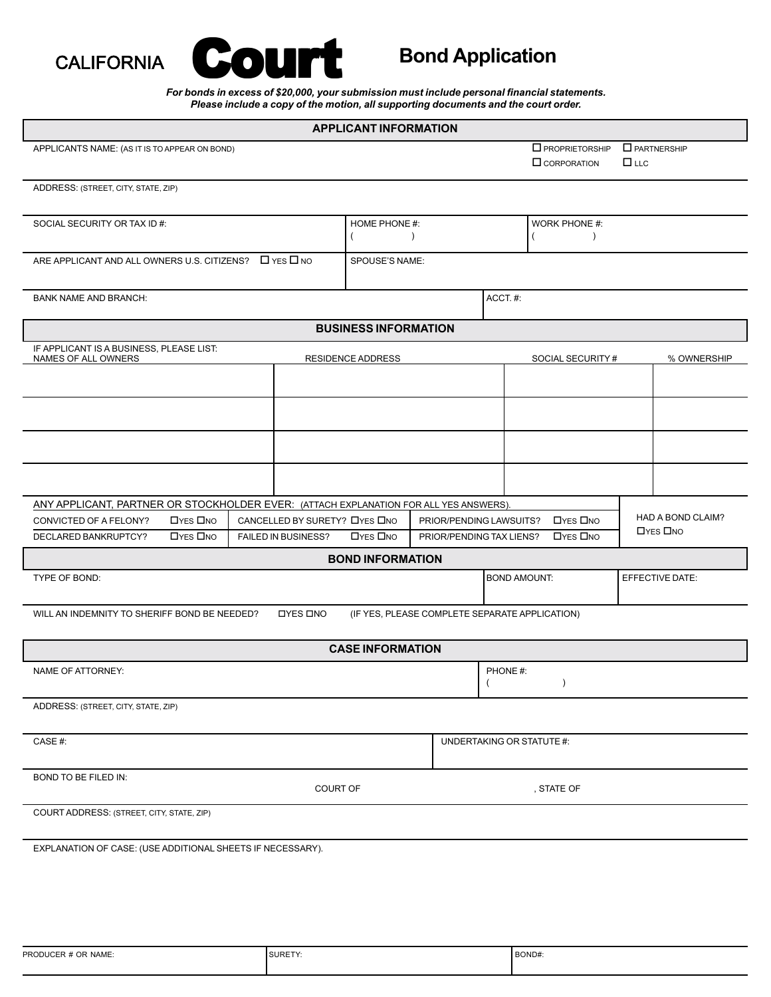



## **Bond Application**

*For bonds in excess of \$20,000, your submission must include personal financial statements. Please include a copy of the motion, all supporting documents and the court order.*

| <b>APPLICANT INFORMATION</b>                                                                                                       |                               |                             |                         |                                                                |                                                                                    |  |                   |
|------------------------------------------------------------------------------------------------------------------------------------|-------------------------------|-----------------------------|-------------------------|----------------------------------------------------------------|------------------------------------------------------------------------------------|--|-------------------|
|                                                                                                                                    |                               |                             |                         |                                                                |                                                                                    |  |                   |
| APPLICANTS NAME: (AS IT IS TO APPEAR ON BOND)                                                                                      |                               |                             |                         |                                                                | $\Box$ PROPRIETORSHIP<br>$\Box$ PARTNERSHIP<br>$\Box$ LLC<br>$\square$ CORPORATION |  |                   |
|                                                                                                                                    |                               |                             |                         |                                                                |                                                                                    |  |                   |
| ADDRESS: (STREET, CITY, STATE, ZIP)                                                                                                |                               |                             |                         |                                                                |                                                                                    |  |                   |
| SOCIAL SECURITY OR TAX ID #:                                                                                                       | HOME PHONE #:                 |                             | WORK PHONE #:           |                                                                |                                                                                    |  |                   |
|                                                                                                                                    |                               | $\lambda$                   |                         | (<br>$\lambda$                                                 |                                                                                    |  |                   |
| ARE APPLICANT AND ALL OWNERS U.S. CITIZENS? $\Box$ YES $\Box$ NO                                                                   | SPOUSE'S NAME:                |                             |                         |                                                                |                                                                                    |  |                   |
|                                                                                                                                    |                               |                             |                         |                                                                |                                                                                    |  |                   |
| <b>BANK NAME AND BRANCH:</b>                                                                                                       |                               |                             |                         | ACCT. #:                                                       |                                                                                    |  |                   |
|                                                                                                                                    |                               | <b>BUSINESS INFORMATION</b> |                         |                                                                |                                                                                    |  |                   |
| IF APPLICANT IS A BUSINESS, PLEASE LIST:                                                                                           |                               |                             |                         |                                                                |                                                                                    |  |                   |
| NAMES OF ALL OWNERS                                                                                                                |                               | <b>RESIDENCE ADDRESS</b>    |                         |                                                                | SOCIAL SECURITY#                                                                   |  | % OWNERSHIP       |
|                                                                                                                                    |                               |                             |                         |                                                                |                                                                                    |  |                   |
|                                                                                                                                    |                               |                             |                         |                                                                |                                                                                    |  |                   |
|                                                                                                                                    |                               |                             |                         |                                                                |                                                                                    |  |                   |
|                                                                                                                                    |                               |                             |                         |                                                                |                                                                                    |  |                   |
|                                                                                                                                    |                               |                             |                         |                                                                |                                                                                    |  |                   |
|                                                                                                                                    |                               |                             |                         |                                                                |                                                                                    |  |                   |
| ANY APPLICANT, PARTNER OR STOCKHOLDER EVER: (ATTACH EXPLANATION FOR ALL YES ANSWERS).<br><b>OYES ONO</b><br>CONVICTED OF A FELONY? | CANCELLED BY SURETY? LYES LNO |                             | PRIOR/PENDING LAWSUITS? |                                                                | <b>OYES ONO</b>                                                                    |  | HAD A BOND CLAIM? |
| DECLARED BANKRUPTCY?<br><b>OYES ONO</b>                                                                                            | FAILED IN BUSINESS?           | <b>OYES ONO</b>             |                         | <b>OYES ONO</b><br>PRIOR/PENDING TAX LIENS?<br><b>OYES ONO</b> |                                                                                    |  |                   |
| <b>BOND INFORMATION</b>                                                                                                            |                               |                             |                         |                                                                |                                                                                    |  |                   |
| TYPE OF BOND:                                                                                                                      |                               |                             |                         | <b>BOND AMOUNT:</b>                                            |                                                                                    |  | EFFECTIVE DATE:   |
|                                                                                                                                    |                               |                             |                         |                                                                |                                                                                    |  |                   |
| WILL AN INDEMNITY TO SHERIFF BOND BE NEEDED?<br><b>OYES ONO</b><br>(IF YES, PLEASE COMPLETE SEPARATE APPLICATION)                  |                               |                             |                         |                                                                |                                                                                    |  |                   |
|                                                                                                                                    |                               | <b>CASE INFORMATION</b>     |                         |                                                                |                                                                                    |  |                   |
| NAME OF ATTORNEY:                                                                                                                  |                               |                             |                         | PHONE#:                                                        |                                                                                    |  |                   |
|                                                                                                                                    |                               |                             |                         | $\overline{ }$                                                 | $\lambda$                                                                          |  |                   |
| ADDRESS: (STREET, CITY, STATE, ZIP)                                                                                                |                               |                             |                         |                                                                |                                                                                    |  |                   |
|                                                                                                                                    |                               |                             |                         |                                                                |                                                                                    |  |                   |
| CASE#:                                                                                                                             |                               |                             |                         |                                                                | UNDERTAKING OR STATUTE #:                                                          |  |                   |
| BOND TO BE FILED IN:                                                                                                               |                               |                             |                         |                                                                |                                                                                    |  |                   |
| COURT OF                                                                                                                           |                               |                             |                         | , STATE OF                                                     |                                                                                    |  |                   |
| COURT ADDRESS: (STREET, CITY, STATE, ZIP)                                                                                          |                               |                             |                         |                                                                |                                                                                    |  |                   |
|                                                                                                                                    |                               |                             |                         |                                                                |                                                                                    |  |                   |
| EXPLANATION OF CASE: (USE ADDITIONAL SHEETS IF NECESSARY).                                                                         |                               |                             |                         |                                                                |                                                                                    |  |                   |
|                                                                                                                                    |                               |                             |                         |                                                                |                                                                                    |  |                   |